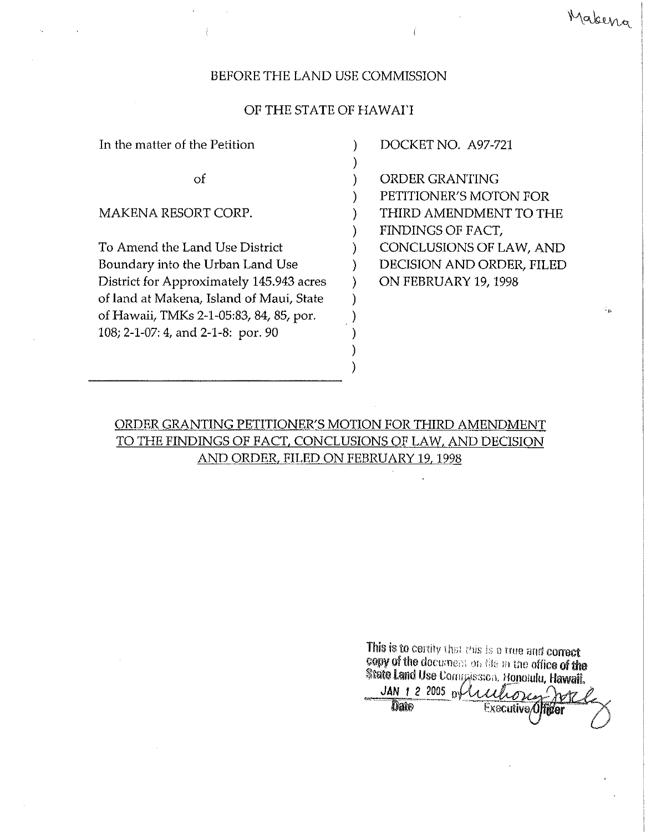## BEFORE THE LAND USE COMMISSION

## OF THE STATE OF HAWArI

)

)

)

) )

In the matter of the Petition (1)

 $\mathbf{p}$  )

MAKENA RESORT CORP.

To Amend the Land Use District (1996) Boundary into the Urban Land Use  $\qquad \qquad$  ) District for Approximately 145.943 acres ) of land at Makena, Island of Maui, State ) of Hawaii, TMKs 2-1-05:83, 84, 85, por. 108; 2-1-07: 4, and 2-1-8: par. 90 )

DOCKET NO. *A97-721*

ORDER GRANTING PETITIONER'S MOTON FOR THIRD AMENDMENT TO THE FINDINGS OF FACT, CONCLUSIONS OF LAW, AND DECISION AND ORDER, FILED ON FEBRUARY 19, 1998

**'J,**

Makena

ORDER GRANTING PETITIONER'S MOTION FOR THIRD AMENDMENT TO THE FINDINGS OF FACT, CONCLUSIONS OF LAW, AND DECISION AND ORDER, FILED ON FEBRUARY 19,1998

> This is to certify that this is a true and correct copy of the document on the matter of the State Land Use Corm wss.cn. Honolulu, Hawaii,

 $JAN$  1 2 2005 of  $l$   $l$  $\lambda$ otz **Date** Exacutive<sub>0</sub>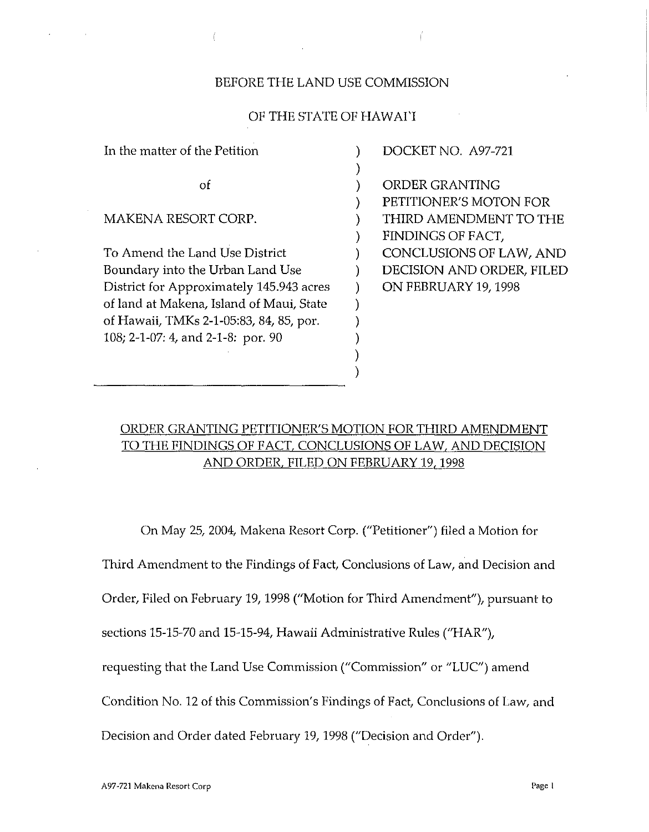## BEFORE THE LAND USE COMMISSION

 $\overline{1}$ 

## OF THE STATE OF HAWAI'I

| In the matter of the Petition            | DOCKET NO. A97-721        |
|------------------------------------------|---------------------------|
|                                          |                           |
| οf                                       | ORDER GRANTING            |
|                                          | PETITIONER'S MOTON FOR    |
| MAKENA RESORT CORP.                      | THIRD AMENDMENT TO THE    |
|                                          | FINDINGS OF FACT,         |
| To Amend the Land Use District           | CONCLUSIONS OF LAW, AND   |
| Boundary into the Urban Land Use         | DECISION AND ORDER, FILED |
| District for Approximately 145.943 acres | ON FEBRUARY 19, 1998      |
| of land at Makena, Island of Maui, State |                           |
| of Hawaii, TMKs 2-1-05:83, 84, 85, por.  |                           |
| 108; 2-1-07: 4, and 2-1-8: por. 90       |                           |
|                                          |                           |
|                                          |                           |

# ORDER GRANTING PETITIONER'S MOTION FOR THIRD AMENDMENT TO THE FINDINGS OF FACT, CONCLUSIONS OF LAW, AND DECISION AND ORDER, FILED ON FEBRUARY19, 1998

On May 25, 2004, Makena Resort Corp. ("Petitioner") filed a Motion for

Third Amendment to the Findings of Fact, Conclusions of Law, and Decision and

Order, Filed on February 19, 1998 ("Motion for Third Amendment"), pursuant to

sections 15-15-70 and 15-15-94, Hawaii Administrative Rules ("HAR"),

requesting that the Land Use Commission ("Commission" or "LUC") amend

Condition No. 12 of this Commission's Findings of Fact, Conclusions of Law, and

Decision and Order dated February 19, 1998 ("Decision and Order").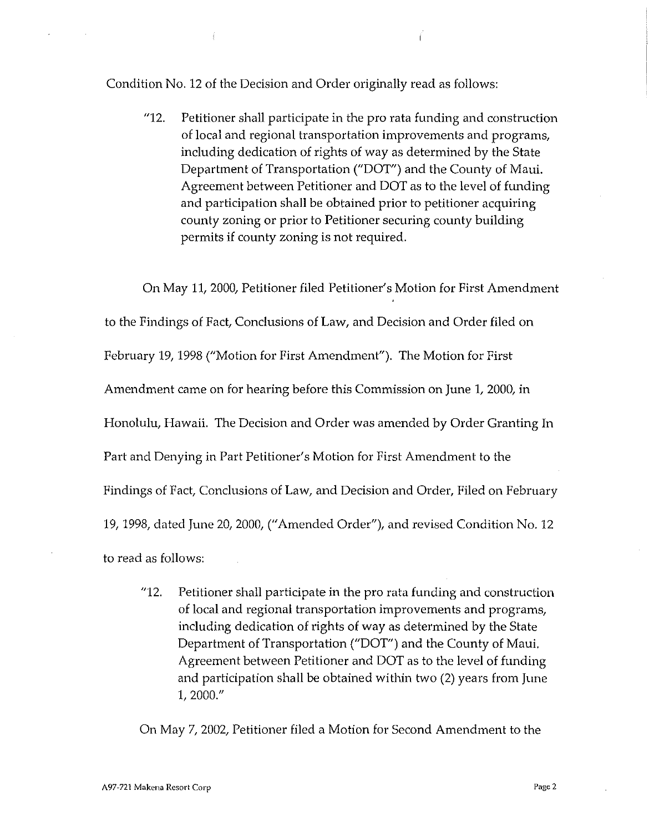Condition No. 12 of the Decision and Order originally read as follows:

"12. Petitioner shall participate in the pro rata funding and construction of local and regional transportation improvements and programs, including dedication of rights of way as determined by the State Department of Transportation ("DOT") and the County of Maui, Agreement between Petitioner and DOT as to the level of funding and participation shall be obtained prior to petitioner acquiring county zoning or prior to Petitioner securing county building permits if county zoning is not required.

On May 11, 2000, Petitioner filed Petitioner's Motion for First Amendment to the Findings of Fact, Conclusions of Law, and Decision and Order filed on February 19, 1998 ("Motion for First Amendment"). The Motion for First Amendment came on for hearing before this Commission on June 1, 2000, in Honolulu, Hawaii. The Decision and Order was amended by Order Granting In Part and Denying in Part Petitioner's Motion for First Amendment to the Findings of Fact, Conclusions of Law, and Decision and Order, Filed on February 19,1998, dated June 20, 2000, ("Amended Order"), and revised Condition No. 12 to read as follows:

"12. Petitioner shall participate in the pro rata funding and construction of local and regional transportation improvements and programs, including dedication of rights of way as determined by the State Department of Transportation ("DOT") and the County of Maui. Agreement between Petitioner and DOT as to the level of funding and participation shall be obtained within two (2) years from June 1, 2000."

On May 7, 2002, Petitioner filed a Motion for Second Amendment to the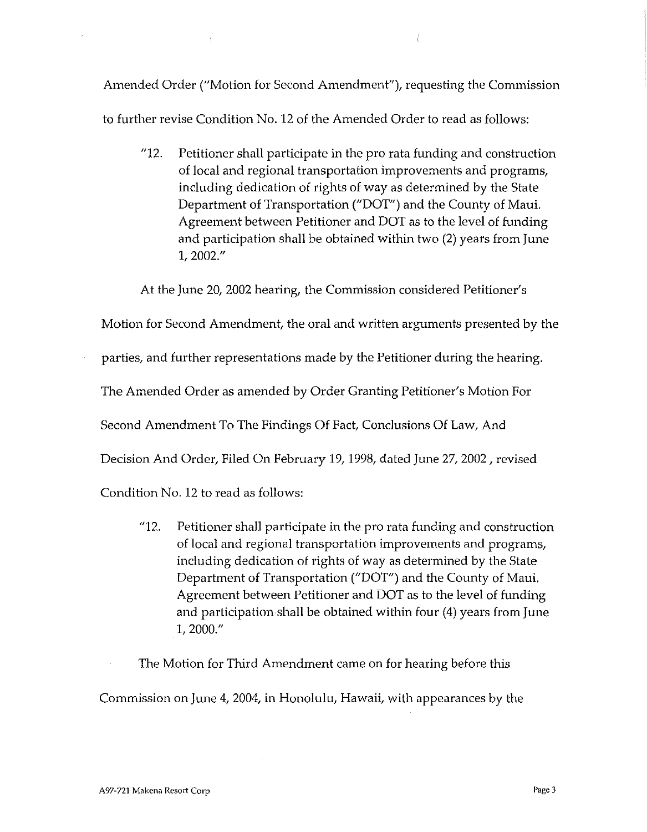Amended Order ("Motion for Second Amendment"), requesting the Commission to further revise Condition No. 12 of the Amended Order to read as follows:

"12. Petitioner shall participate in the pro rata funding and construction of local and regional transportation improvements and programs, including dedication of rights of way as determined by the State Department of Transportation ("DOT") and the County of Maui. Agreement between Petitioner and DOT as to the level of funding and participation shall be obtained within two (2) years from June 1,2002."

At the June 20, 2002 hearing, the Commission considered Petitioner's

Motion for Second Amendment, the oral and written arguments presented by the

parties, and further representations made by the Petitioner during the hearing.

The Amended Order as amended by Order Granting Petitioner's Motion For

Second Amendment To The Findings Of Fact, Conclusions Of Law, And

Decision And Order, Filed On February 19, 1998, dated June 27, 2002, revised

Condition No. 12 to read as follows:

"12. Petitioner shall participate in the pro rata funding and construction of local and regional transportation improvements and programs, including dedication of rights of way as determined by the State Department of Transportation ("DOT") and the County of Maui. Agreement between Petitioner and DOT as to the level of funding and participation shall be obtained within four (4) years from June 1,2000."

The Motion for Third Amendment came on for hearing before this

Commission on June 4, 2004, in Honolulu, Hawaii, with appearances by the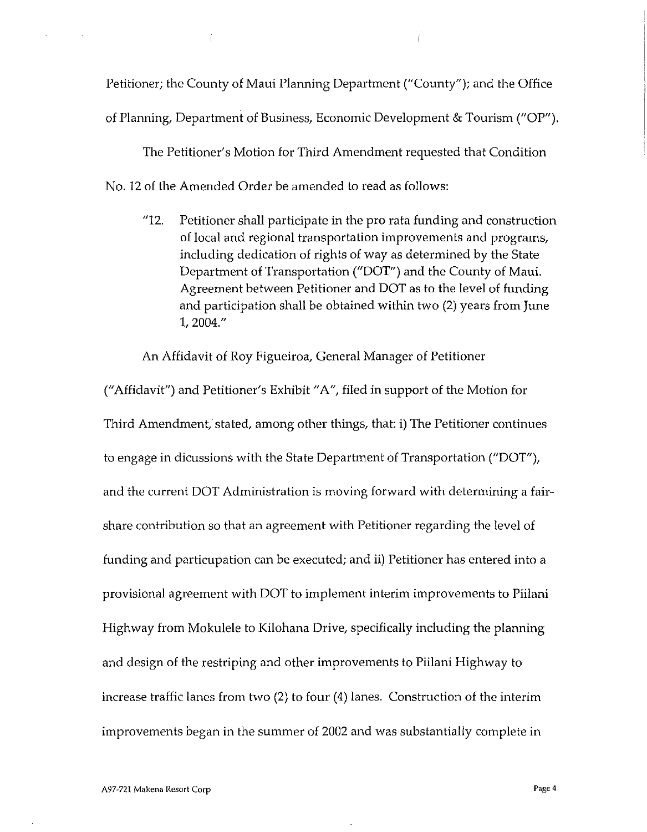Petitioner; the County of Maui Planning Department ("County"); and the Office

of Planning, Department of Business, Economic Development & Tourism ("OP").

The Petitioner's Motion for Third Amendment requested that Condition

No. 12 of the Amended Order be amended to read as follows:

"12. Petitioner shall participate in the pro rata funding and construction of local and regional transportation improvements and programs, including dedication of rights of way as determined by the State Department of Transportation ("DOT") and the County of Maui. Agreement between Petitioner and DOT as to the level of funding and participation shall be obtained within two (2) years from June 1,2004."

An Affidavit of Roy Figueiroa, General Manager of Petitioner

("Affidavit") and Petitioner's Exhibit "A", filed in support of the Motion for Third Amendment, stated, among other things, that: i) The Petitioner continues to engage in dicussions with the State Department of Transportation ("DOT"), and the current DOT Administration is moving forward with determining a fairshare contribution so that an agreement with Petitioner regarding the level of funding and particupation can be executed; and ii) Petitioner has entered into a provisional agreement with DOT to implement interim improvements to Piilani Highway from Mokulele to Kilohana Drive, specifically including the planning and design of the restriping and other improvements to Piilani Highway to increase traffic lanes from two (2) to four (4) lanes. Construction of the interim improvements began in the summer of 2002 and was substantially complete in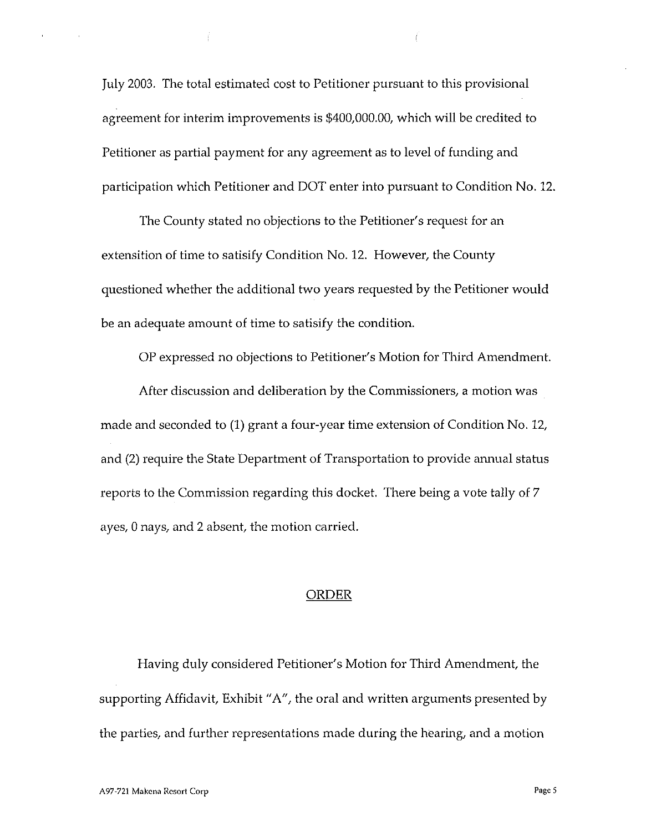July 2003. The total estimated cost to Petitioner pursuant to this provisional agreement for interim improvements is \$400,000.00, which will be credited to Petitioner as partial payment for any agreement as to level of funding and participation which Petitioner and DOT enter into pursuant to Condition No. 12.

The County stated no objections to the Petitioner's request for an extensition of time to satisify Condition No. 12. However, the County questioned whether the additional two years requested by the Petitioner would be an adequate amount of time to satisify the condition.

OP expressed no objections to Petitioner's Motion for Third Amendment.

After discussion and deliberation by the Commissioners, a motion was made and seconded to (1) grant a four-year time extension of Condition No. 12, and (2) require the State Department of Transportation to provide annual status reports to the Commission regarding this docket. There being a vote tally of 7 ayes, 0 nays, and 2 absent, the motion carried.

#### ORDER

Having duly considered Petitioner's Motion for Third Amendment, the supporting Affidavit, Exhibit "A", the oral and written arguments presented by the parties, and further representations made during the hearing, and a motion

 $\sim$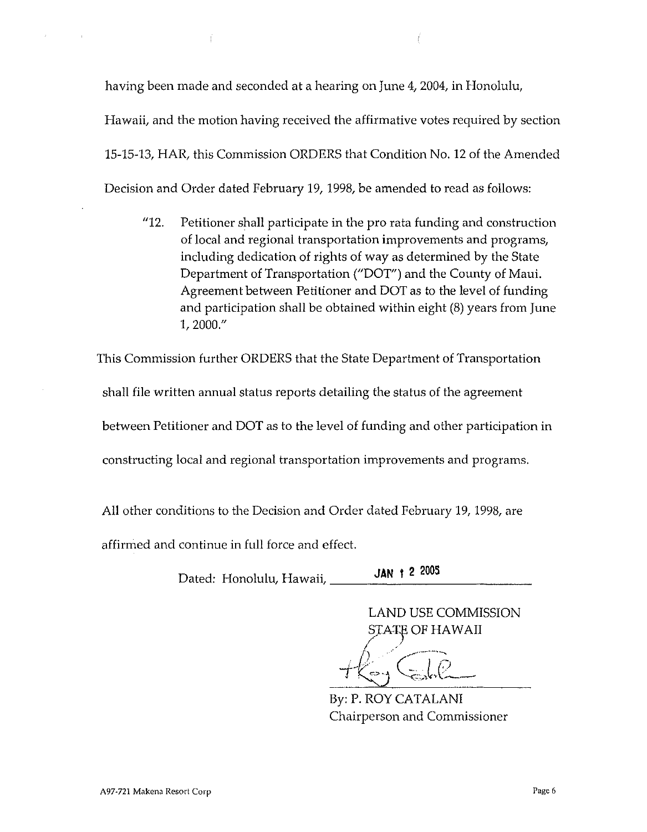having been made and seconded at a hearing on June 4,2004, in Honolulu,

Hawaii, and the motion having received the affirmative votes required by section

15-15-13, HAR, this Commission ORDERS that Condition No. 12 of the Amended

Decision and Order dated February 19, 1998, be amended to read as follows:

"12. Petitioner shall participate in the pro rata funding and construction of local and regional transportation improvements and programs, including dedication of rights of way as determined by the State Department of Transportation ("DOT") and the County of Maul. Agreement between Petitioner and DOT as to the level of funding and participation shall be obtained within eight (8) years from June 1,2000."

This Commission further ORDERS that the State Department of Transportation shall file written annual status reports detailing the status of the agreement between Petitioner and DOT as to the level of funding and other participation in constructing local and regional transportation improvements and programs.

All other conditions to the Decision and Order dated February 19,1998, are

affirmed and continue in full force and effect.

**JAN t <sup>2</sup> <sup>2005</sup>** Dated: Honolulu, Hawaii, \_

LAND USE COMMISSION  $\begin{aligned} {\rm STATE} \text{ } {\rm OF} \text{ } {\rm H}{\rm AWA}{\rm II} \end{aligned}$ 

*i)i* (l~) *rt:*" Sz; . ':;:':" '\::...,...,.~ *J:-***\:--**

By: P. ROY CATALANI Chairperson and Commissioner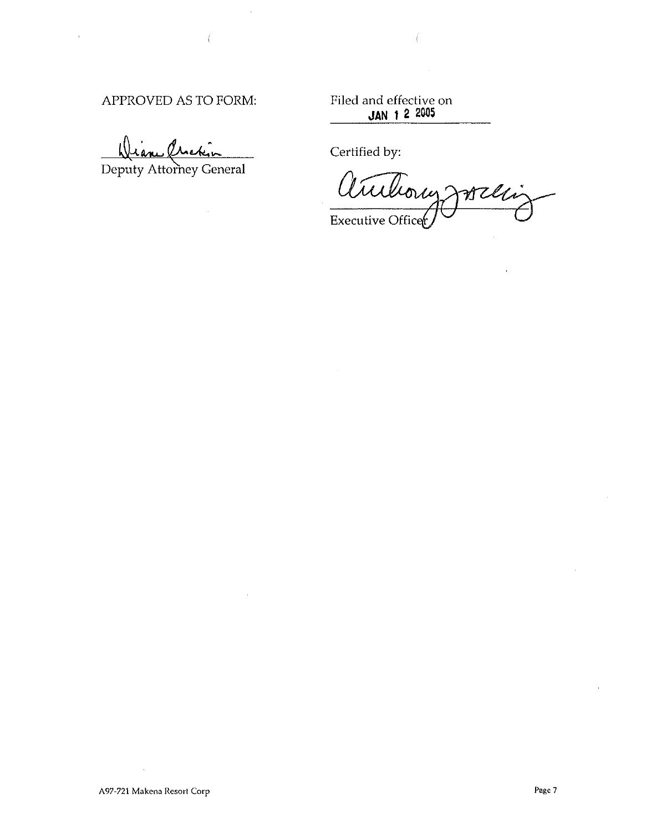# APPROVED AS TO FORM:

Filed and effective on **JAN I 2 2005**

arch

Deputy Attorney General

Certified by:

**Willi**  $\mathfrak{d} \mathcal{U}$ Executive Officer

 $\hat{\mathbf{r}}$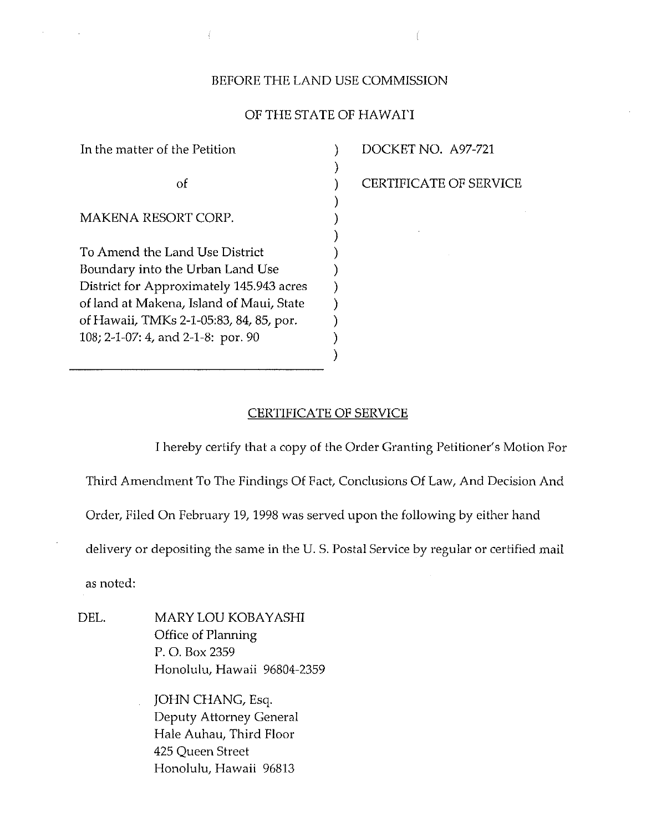## BEFORE THE LAND USE COMMISSION

## OF THE STATE OF HAWArI

) ) ) ) ) ) ) ) ) ) ) ) )

In the matter of the Petition of MAKENA RESORT CORP. To Amend the Land Use District Boundary into the Urban Land Use District for Approximately 145.943 acres of land at Makcna, Island of Maui, State of Hawaii, TMKs 2-1-05:83, 84, 85, por. 108; 2-1-07: 4, and 2-1-8: por. 90

 $\vec{f}$ 

DOCKET NO. A97-721

CERTIFICATE OF SERVICE

### CERTIFICATE OF SERVICE

I hereby certify that a copy of the Order Granting Petitioner's Motion For

Third Amendment To The Findings Of Fact, Conclusions Of Law, And Decision And

Order, Filed On February 19, 1998 was served upon the following by either hand

delivery or depositing the same in the U. S. Postal Service by regular or certified mail

as noted:

DEL. MARY LOU KOBAYASHI Office of Planning P. O. Box 2359 Honolulu, Hawaii 96804-2359

> JOHN CHANG, Esq. Deputy Attorney General Hale Auhau, Third Floor 425 Queen Street Honolulu, Hawaii 96813